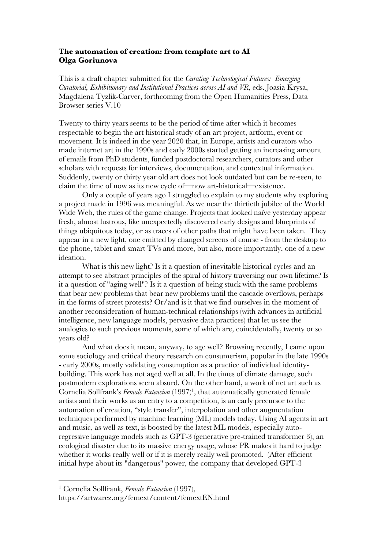#### **The automation of creation: from template art to AI Olga Goriunova**

This is a draft chapter submitted for the *Curating Technological Futures: Emerging Curatorial, Exhibitionary and Institutional Practices across AI and VR*, eds. Joasia Krysa, Magdalena Tyzlik-Carver, forthcoming from the Open Humanities Press, Data Browser series V.10

Twenty to thirty years seems to be the period of time after which it becomes respectable to begin the art historical study of an art project, artform, event or movement. It is indeed in the year 2020 that, in Europe, artists and curators who made internet art in the 1990s and early 2000s started getting an increasing amount of emails from PhD students, funded postdoctoral researchers, curators and other scholars with requests for interviews, documentation, and contextual information. Suddenly, twenty or thirty year old art does not look outdated but can be re-seen, to claim the time of now as its new cycle of—now art-historical—existence.

Only a couple of years ago I struggled to explain to my students why exploring a project made in 1996 was meaningful. As we near the thirtieth jubilee of the World Wide Web, the rules of the game change. Projects that looked naïve yesterday appear fresh, almost lustrous, like unexpectedly discovered early designs and blueprints of things ubiquitous today, or as traces of other paths that might have been taken. They appear in a new light, one emitted by changed screens of course - from the desktop to the phone, tablet and smart TVs and more, but also, more importantly, one of a new ideation.

What is this new light? Is it a question of inevitable historical cycles and an attempt to see abstract principles of the spiral of history traversing our own lifetime? Is it a question of "aging well"? Is it a question of being stuck with the same problems that bear new problems that bear new problems until the cascade overflows, perhaps in the forms of street protests? Or/and is it that we find ourselves in the moment of another reconsideration of human-technical relationships (with advances in artificial intelligence, new language models, pervasive data practices) that let us see the analogies to such previous moments, some of which are, coincidentally, twenty or so years old?

And what does it mean, anyway, to age well? Browsing recently, I came upon some sociology and critical theory research on consumerism, popular in the late 1990s - early 2000s, mostly validating consumption as a practice of individual identitybuilding. This work has not aged well at all. In the times of climate damage, such postmodern explorations seem absurd. On the other hand, a work of net art such as Cornelia Sollfrank's *Female Extension* (1997)<sup>1</sup>, that automatically generated female artists and their works as an entry to a competition, is an early precursor to the automation of creation, "style transfer", interpolation and other augmentation techniques performed by machine learning (ML) models today. Using AI agents in art and music, as well as text, is boosted by the latest ML models, especially autoregressive language models such as GPT-3 (generative pre-trained transformer 3), an ecological disaster due to its massive energy usage, whose PR makes it hard to judge whether it works really well or if it is merely really well promoted. (After efficient initial hype about its "dangerous" power, the company that developed GPT-3

 <sup>1</sup> Cornelia Sollfrank, *Female Extension* (1997),

https://artwarez.org/femext/content/femextEN.html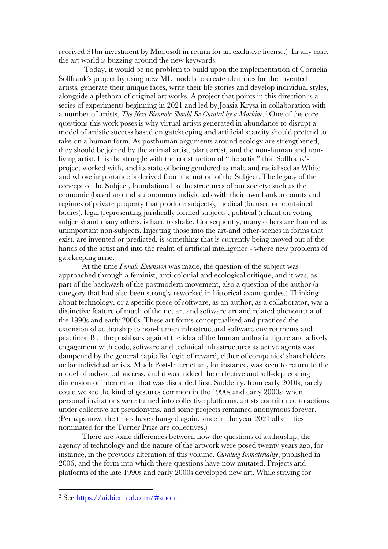received \$1bn investment by Microsoft in return for an exclusive license.) In any case, the art world is buzzing around the new keywords.

Today, it would be no problem to build upon the implementation of Cornelia Sollfrank's project by using new ML models to create identities for the invented artists, generate their unique faces, write their life stories and develop individual styles, alongside a plethora of original art works. A project that points in this direction is a series of experiments beginning in 2021 and led by Joasia Krysa in collaboration with a number of artists, *The Next Biennale Should Be Curated by a Machine*. <sup>2</sup> One of the core questions this work poses is why virtual artists generated in abundance to disrupt a model of artistic success based on gatekeeping and artificial scarcity should pretend to take on a human form. As posthuman arguments around ecology are strengthened, they should be joined by the animal artist, plant artist, and the non-human and nonliving artist. It is the struggle with the construction of "the artist" that Sollfrank's project worked with, and its state of being gendered as male and racialised as White and whose importance is derived from the notion of the Subject. The legacy of the concept of the Subject, foundational to the structures of our society: such as the economic (based around autonomous individuals with their own bank accounts and regimes of private property that produce subjects), medical (focused on contained bodies), legal (representing juridically formed subjects), political (reliant on voting subjects) and many others, is hard to shake. Consequently, many others are framed as unimportant non-subjects. Injecting those into the art-and other-scenes in forms that exist, are invented or predicted, is something that is currently being moved out of the hands of the artist and into the realm of artificial intelligence - where new problems of gatekeeping arise.

At the time *Female Extension* was made, the question of the subject was approached through a feminist, anti-colonial and ecological critique, and it was, as part of the backwash of the postmodern movement, also a question of the author (a category that had also been strongly reworked in historical avant-gardes.) Thinking about technology, or a specific piece of software, as an author, as a collaborator, was a distinctive feature of much of the net art and software art and related phenomena of the 1990s and early 2000s. These art forms conceptualised and practiced the extension of authorship to non-human infrastructural software environments and practices. But the pushback against the idea of the human authorial figure and a lively engagement with code, software and technical infrastructures as active agents was dampened by the general capitalist logic of reward, either of companies' shareholders or for individual artists. Much Post-Internet art, for instance, was keen to return to the model of individual success, and it was indeed the collective and self-deprecating dimension of internet art that was discarded first. Suddenly, from early 2010s, rarely could we see the kind of gestures common in the 1990s and early 2000s: when personal invitations were turned into collective platforms, artists contributed to actions under collective art pseudonyms, and some projects remained anonymous forever. (Perhaps now, the times have changed again, since in the year 2021 all entities nominated for the Turner Prize are collectives.)

There are some differences between how the questions of authorship, the agency of technology and the nature of the artwork were posed twenty years ago, for instance, in the previous alteration of this volume, *Curating Immateriality*, published in 2006, and the form into which these questions have now mutated. Projects and platforms of the late 1990s and early 2000s developed new art. While striving for

 <sup>2</sup> See https://ai.biennial.com/#about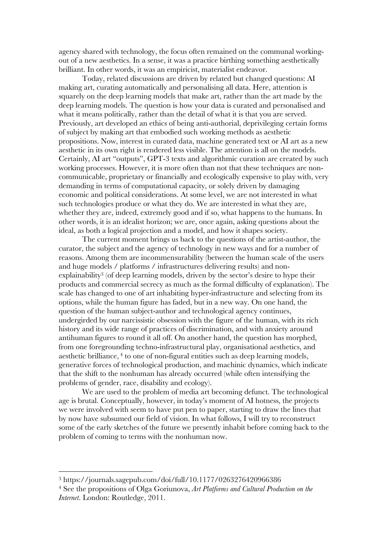agency shared with technology, the focus often remained on the communal workingout of a new aesthetics. In a sense, it was a practice birthing something aesthetically brilliant. In other words, it was an empiricist, materialist endeavor.

Today, related discussions are driven by related but changed questions: AI making art, curating automatically and personalising all data. Here, attention is squarely on the deep learning models that make art, rather than the art made by the deep learning models. The question is how your data is curated and personalised and what it means politically, rather than the detail of what it is that you are served. Previously, art developed an ethics of being anti-authorial, deprivileging certain forms of subject by making art that embodied such working methods as aesthetic propositions. Now, interest in curated data, machine generated text or AI art as a new aesthetic in its own right is rendered less visible. The attention is all on the models. Certainly, AI art "outputs", GPT-3 texts and algorithmic curation are created by such working processes. However, it is more often than not that these techniques are noncommunicable, proprietary or financially and ecologically expensive to play with, very demanding in terms of computational capacity, or solely driven by damaging economic and political considerations. At some level, we are not interested in what such technologies produce or what they do. We are interested in what they are, whether they are, indeed, extremely good and if so, what happens to the humans. In other words, it is an idealist horizon; we are, once again, asking questions about the ideal, as both a logical projection and a model, and how it shapes society.

The current moment brings us back to the questions of the artist-author, the curator, the subject and the agency of technology in new ways and for a number of reasons. Among them are incommensurability (between the human scale of the users and huge models / platforms / infrastructures delivering results) and nonexplainability3 (of deep learning models, driven by the sector's desire to hype their products and commercial secrecy as much as the formal difficulty of explanation). The scale has changed to one of art inhabiting hyper-infrastructure and selecting from its options, while the human figure has faded, but in a new way. On one hand, the question of the human subject-author and technological agency continues, undergirded by our narcissistic obsession with the figure of the human, with its rich history and its wide range of practices of discrimination, and with anxiety around antihuman figures to round it all off. On another hand, the question has morphed, from one foregrounding techno-infrastructural play, organisational aesthetics, and aesthetic brilliance, <sup>4</sup> to one of non-figural entities such as deep learning models, generative forces of technological production, and machinic dynamics, which indicate that the shift to the nonhuman has already occurred (while often intensifying the problems of gender, race, disability and ecology).

We are used to the problem of media art becoming defunct. The technological age is brutal. Conceptually, however, in today's moment of AI hotness, the projects we were involved with seem to have put pen to paper, starting to draw the lines that by now have subsumed our field of vision. In what follows, I will try to reconstruct some of the early sketches of the future we presently inhabit before coming back to the problem of coming to terms with the nonhuman now.

 <sup>3</sup> https://journals.sagepub.com/doi/full/10.1177/0263276420966386

<sup>4</sup> See the propositions of Olga Goriunova, *Art Platforms and Cultural Production on the Internet*. London: Routledge, 2011.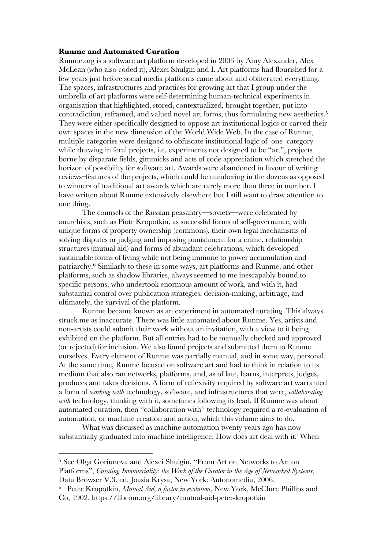#### **Runme and Automated Curation**

Runme.org is a software art platform developed in 2003 by Amy Alexander, Alex McLean (who also coded it), Alexei Shulgin and I. Art platforms had flourished for a few years just before social media platforms came about and obliterated everything. The spaces, infrastructures and practices for growing art that I group under the umbrella of art platforms were self-determining human-technical experiments in organisation that highlighted, stored, contextualized, brought together, put into contradiction, reframed, and valued novel art forms, thus formulating new aesthetics. 5 They were either specifically designed to oppose art institutional logics or carved their own spaces in the new dimension of the World Wide Web. In the case of Runme, multiple categories were designed to obfuscate institutional logic of–one–category while drawing in feral projects, i.e. experiments not designed to be "art", projects borne by disparate fields, gimmicks and acts of code appreciation which stretched the horizon of possibility for software art. Awards were abandoned in favour of writing reviews–features of the projects, which could be numbering in the dozens as opposed to winners of traditional art awards which are rarely more than three in number. I have written about Runme extensively elsewhere but I still want to draw attention to one thing.

The counsels of the Russian peasantry—soviets—were celebrated by anarchists, such as Piotr Kropotkin, as successful forms of self-governance, with unique forms of property ownership (commons), their own legal mechanisms of solving disputes or judging and imposing punishment for a crime, relationship structures (mutual aid) and forms of abundant celebrations, which developed sustainable forms of living while not being immune to power accumulation and patriarchy. <sup>6</sup> Similarly to these in some ways, art platforms and Runme, and other platforms, such as shadow libraries, always seemed to me inescapably bound to specific persons, who undertook enormous amount of work, and with it, had substantial control over publication strategies, decision-making, arbitrage, and ultimately, the survival of the platform.

Runme became known as an experiment in automated curating. This always struck me as inaccurate. There was little automated about Runme. Yes, artists and non-artists could submit their work without an invitation, with a view to it being exhibited on the platform. But all entries had to be manually checked and approved (or rejected) for inclusion. We also found projects and submitted them to Runme ourselves. Every element of Runme was partially manual, and in some way, personal. At the same time, Runme focused on software art and had to think in relation to its medium that also ran networks, platforms, and, as of late, learns, interprets, judges, produces and takes decisions. A form of reflexivity required by software art warranted a form of *working with* technology, software, and infrastructures that were, *collaborating with* technology, thinking with it, sometimes following its lead. If Runme was about automated curation, then "collaboration with" technology required a re-evaluation of automation, or machine creation and action, which this volume aims to do.

What was discussed as machine automation twenty years ago has now substantially graduated into machine intelligence. How does art deal with it? When

 <sup>5</sup> See Olga Goriunova and Alexei Shulgin, "From Art on Networks to Art on Platforms", *Curating Immateriality: the Work of the Curator in the Age of Networked Systems*, Data Browser V.3. ed. Joasia Krysa, New York: Autonomedia, 2006.

<sup>6</sup> Peter Kropotkin, *Mutual Aid, a factor in evolution*, New York, McClure Phillips and Co, 1902. https://libcom.org/library/mutual-aid-peter-kropotkin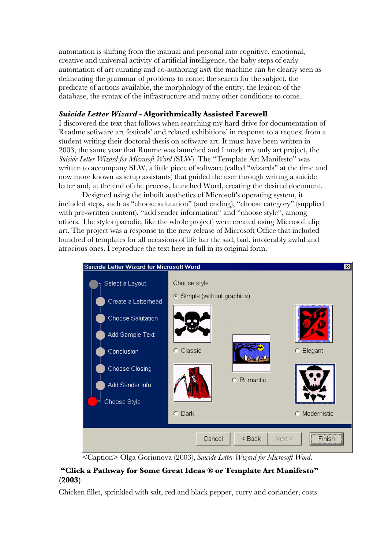automation is shifting from the manual and personal into cognitive, emotional, creative and universal activity of artificial intelligence, the baby steps of early automation of art curating and co-authoring *with* the machine can be clearly seen as delineating the grammar of problems to come: the search for the subject, the predicate of actions available, the morphology of the entity, the lexicon of the database, the syntax of the infrastructure and many other conditions to come.

## *Suicide Letter Wizard* **- Algorithmically Assisted Farewell**

I discovered the text that follows when searching my hard drive for documentation of Readme software art festivals' and related exhibitions' in response to a request from a student writing their doctoral thesis on software art. It must have been written in 2003, the same year that Runme was launched and I made my only art project, the *Suicide Letter Wizard for Microsoft Word* (SLW). The "Template Art Manifesto" was written to accompany SLW, a little piece of software (called "wizards" at the time and now more known as setup assistants) that guided the user through writing a suicide letter and, at the end of the process, launched Word, creating the desired document.

Designed using the inbuilt aesthetics of Microsoft's operating system, it included steps, such as "choose salutation" (and ending), "choose category" (supplied with pre-written content), "add sender information" and "choose style", among others. The styles (parodic, like the whole project) were created using Microsoft clip art. The project was a response to the new release of Microsoft Office that included hundred of templates for all occasions of life bar the sad, bad, intolerably awful and atrocious ones. I reproduce the text here in full in its original form.



<Caption> Olga Goriunova (2003), *Suicide Letter Wizard for Microsoft Word*.

# **"Click a Pathway for Some Great Ideas ® or Template Art Manifesto" (2003)**

Chicken fillet, sprinkled with salt, red and black pepper, curry and coriander, costs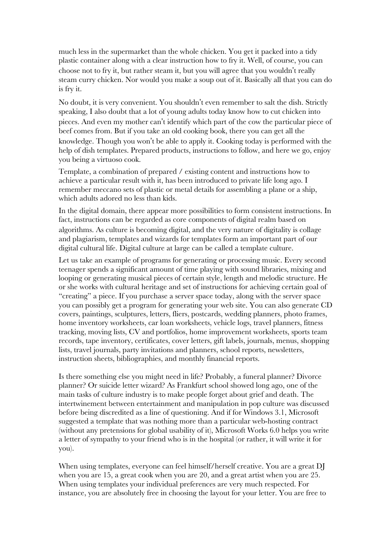much less in the supermarket than the whole chicken. You get it packed into a tidy plastic container along with a clear instruction how to fry it. Well, of course, you can choose not to fry it, but rather steam it, but you will agree that you wouldn't really steam curry chicken. Nor would you make a soup out of it. Basically all that you can do is fry it.

No doubt, it is very convenient. You shouldn't even remember to salt the dish. Strictly speaking, I also doubt that a lot of young adults today know how to cut chicken into pieces. And even my mother can't identify which part of the cow the particular piece of beef comes from. But if you take an old cooking book, there you can get all the knowledge. Though you won't be able to apply it. Cooking today is performed with the help of dish templates. Prepared products, instructions to follow, and here we go, enjoy you being a virtuoso cook.

Template, a combination of prepared / existing content and instructions how to achieve a particular result with it, has been introduced to private life long ago. I remember meccano sets of plastic or metal details for assembling a plane or a ship, which adults adored no less than kids.

In the digital domain, there appear more possibilities to form consistent instructions. In fact, instructions can be regarded as core components of digital realm based on algorithms. As culture is becoming digital, and the very nature of digitality is collage and plagiarism, templates and wizards for templates form an important part of our digital cultural life. Digital culture at large can be called a template culture.

Let us take an example of programs for generating or processing music. Every second teenager spends a significant amount of time playing with sound libraries, mixing and looping or generating musical pieces of certain style, length and melodic structure. He or she works with cultural heritage and set of instructions for achieving certain goal of "creating" a piece. If you purchase a server space today, along with the server space you can possibly get a program for generating your web site. You can also generate CD covers, paintings, sculptures, letters, fliers, postcards, wedding planners, photo frames, home inventory worksheets, car loan worksheets, vehicle logs, travel planners, fitness tracking, moving lists, CV and portfolios, home improvement worksheets, sports team records, tape inventory, certificates, cover letters, gift labels, journals, menus, shopping lists, travel journals, party invitations and planners, school reports, newsletters, instruction sheets, bibliographies, and monthly financial reports.

Is there something else you might need in life? Probably, a funeral planner? Divorce planner? Or suicide letter wizard? As Frankfurt school showed long ago, one of the main tasks of culture industry is to make people forget about grief and death. The intertwinement between entertainment and manipulation in pop culture was discussed before being discredited as a line of questioning. And if for Windows 3.1, Microsoft suggested a template that was nothing more than a particular web-hosting contract (without any pretensions for global usability of it), Microsoft Works 6.0 helps you write a letter of sympathy to your friend who is in the hospital (or rather, it will write it for you).

When using templates, everyone can feel himself/herself creative. You are a great DJ when you are 15, a great cook when you are 20, and a great artist when you are 25. When using templates your individual preferences are very much respected. For instance, you are absolutely free in choosing the layout for your letter. You are free to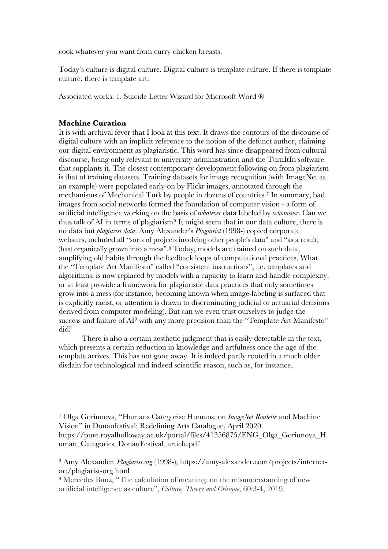cook whatever you want from curry chicken breasts.

Today's culture is digital culture. Digital culture is template culture. If there is template culture, there is template art.

Associated works: 1. Suicide Letter Wizard for Microsoft Word ®

### **Machine Curation**

 $\overline{a}$ 

It is with archival fever that I look at this text. It draws the contours of the discourse of digital culture with an implicit reference to the notion of the defunct author, claiming our digital environment as plagiaristic. This word has since disappeared from cultural discourse, being only relevant to university administration and the TurnItIn software that supplants it. The closest contemporary development following on from plagiarism is that of training datasets. Training datasets for image recognition (with ImageNet as an example) were populated early-on by Flickr images, annotated through the mechanisms of Mechanical Turk by people in dozens of countries.7 In summary, bad images from social networks formed the foundation of computer vision - a form of artificial intelligence working on the basis of *whatever* data labeled by *whomever*. Can we thus talk of AI in terms of plagiarism? It might seem that in our data culture, there is no data but *plagiarist data*. Amy Alexander's *Plagiarist* (1998-) copied corporate websites, included all "sorts of projects involving other people's data" and "as a result, (has) organically grown into a mess".8 Today, models are trained on such data, amplifying old habits through the feedback loops of computational practices. What the "Template Art Manifesto" called "consistent instructions", i.e. templates and algorithms, is now replaced by models with a capacity to learn and handle complexity, or at least provide a framework for plagiaristic data practices that only sometimes grow into a mess (for instance, becoming known when image-labeling is surfaced that is explicitly racist, or attention is drawn to discriminating judicial or actuarial decisions derived from computer modeling). But can we even trust ourselves to judge the success and failure of  $Al^9$  with any more precision than the "Template Art Manifesto" did?

There is also a certain aesthetic judgment that is easily detectable in the text, which presents a certain reduction in knowledge and artfulness once the age of the template arrives. This has not gone away. It is indeed partly rooted in a much older disdain for technological and indeed scientific reason, such as, for instance,

<sup>7</sup> Olga Goriunova, "Humans Categorise Humans: on *ImageNet Roulette* and Machine Vision" in Donaufestival: Redefining Arts Catalogue, April 2020. https://pure.royalholloway.ac.uk/portal/files/41356875/ENG\_Olga\_Goriunova\_H

uman\_Categories\_DonauFestival\_article.pdf

<sup>8</sup> Amy Alexander. *Plagiarist.org* (1998-); https://amy-alexander.com/projects/internetart/plagiarist-org.html

<sup>9</sup> Mercedes Bunz, "The calculation of meaning: on the misunderstanding of new artificial intelligence as culture", *Culture, Theory and Critique*, 60:3-4, 2019.